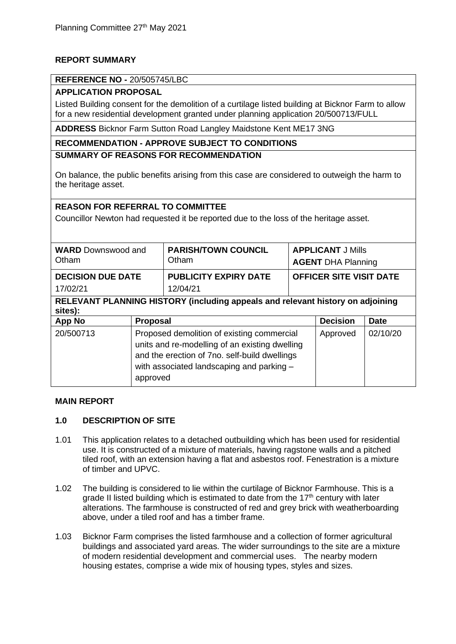## **REPORT SUMMARY**

### **REFERENCE NO -** 20/505745/LBC

# **APPLICATION PROPOSAL**

Listed Building consent for the demolition of a curtilage listed building at Bicknor Farm to allow for a new residential development granted under planning application 20/500713/FULL

**ADDRESS** Bicknor Farm Sutton Road Langley Maidstone Kent ME17 3NG

## **RECOMMENDATION - APPROVE SUBJECT TO CONDITIONS**

#### **SUMMARY OF REASONS FOR RECOMMENDATION**

On balance, the public benefits arising from this case are considered to outweigh the harm to the heritage asset.

### **REASON FOR REFERRAL TO COMMITTEE**

Councillor Newton had requested it be reported due to the loss of the heritage asset.

| <b>WARD</b> Downswood and<br>Otham                                                        |                                                                                                                                                                                                        | <b>PARISH/TOWN COUNCIL</b><br>Otham      | <b>APPLICANT J Mills</b><br><b>AGENT DHA Planning</b> |                 |             |
|-------------------------------------------------------------------------------------------|--------------------------------------------------------------------------------------------------------------------------------------------------------------------------------------------------------|------------------------------------------|-------------------------------------------------------|-----------------|-------------|
| <b>DECISION DUE DATE</b><br>17/02/21                                                      |                                                                                                                                                                                                        | <b>PUBLICITY EXPIRY DATE</b><br>12/04/21 | <b>OFFICER SITE VISIT DATE</b>                        |                 |             |
| RELEVANT PLANNING HISTORY (including appeals and relevant history on adjoining<br>sites): |                                                                                                                                                                                                        |                                          |                                                       |                 |             |
| <b>App No</b>                                                                             | <b>Proposal</b>                                                                                                                                                                                        |                                          |                                                       | <b>Decision</b> | <b>Date</b> |
| 20/500713                                                                                 | Proposed demolition of existing commercial<br>units and re-modelling of an existing dwelling<br>and the erection of 7no. self-build dwellings<br>with associated landscaping and parking -<br>approved |                                          |                                                       | Approved        | 02/10/20    |

#### **MAIN REPORT**

### **1.0 DESCRIPTION OF SITE**

- 1.01 This application relates to a detached outbuilding which has been used for residential use. It is constructed of a mixture of materials, having ragstone walls and a pitched tiled roof, with an extension having a flat and asbestos roof. Fenestration is a mixture of timber and UPVC.
- 1.02 The building is considered to lie within the curtilage of Bicknor Farmhouse. This is a grade II listed building which is estimated to date from the  $17<sup>th</sup>$  century with later alterations. The farmhouse is constructed of red and grey brick with weatherboarding above, under a tiled roof and has a timber frame.
- 1.03 Bicknor Farm comprises the listed farmhouse and a collection of former agricultural buildings and associated yard areas. The wider surroundings to the site are a mixture of modern residential development and commercial uses. The nearby modern housing estates, comprise a wide mix of housing types, styles and sizes.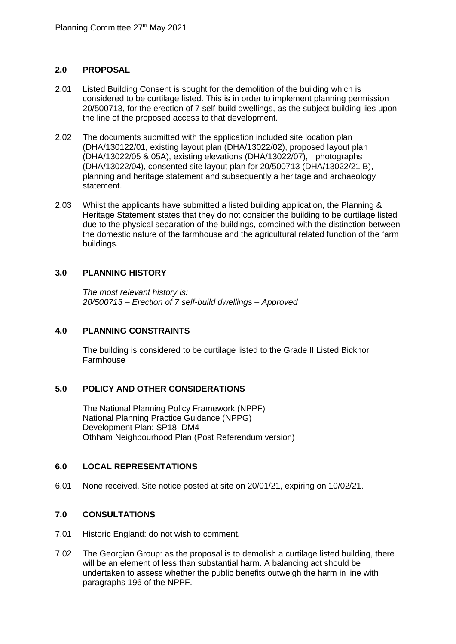### **2.0 PROPOSAL**

- 2.01 Listed Building Consent is sought for the demolition of the building which is considered to be curtilage listed. This is in order to implement planning permission 20/500713, for the erection of 7 self-build dwellings, as the subject building lies upon the line of the proposed access to that development.
- 2.02 The documents submitted with the application included site location plan (DHA/130122/01, existing layout plan (DHA/13022/02), proposed layout plan (DHA/13022/05 & 05A), existing elevations (DHA/13022/07), photographs (DHA/13022/04), consented site layout plan for 20/500713 (DHA/13022/21 B), planning and heritage statement and subsequently a heritage and archaeology statement.
- 2.03 Whilst the applicants have submitted a listed building application, the Planning & Heritage Statement states that they do not consider the building to be curtilage listed due to the physical separation of the buildings, combined with the distinction between the domestic nature of the farmhouse and the agricultural related function of the farm buildings.

### **3.0 PLANNING HISTORY**

*The most relevant history is: 20/500713 – Erection of 7 self-build dwellings – Approved* 

### **4.0 PLANNING CONSTRAINTS**

The building is considered to be curtilage listed to the Grade II Listed Bicknor Farmhouse

# **5.0 POLICY AND OTHER CONSIDERATIONS**

The National Planning Policy Framework (NPPF) National Planning Practice Guidance (NPPG) Development Plan: SP18, DM4 Othham Neighbourhood Plan (Post Referendum version)

### **6.0 LOCAL REPRESENTATIONS**

6.01 None received. Site notice posted at site on 20/01/21, expiring on 10/02/21.

### **7.0 CONSULTATIONS**

- 7.01 Historic England: do not wish to comment.
- 7.02 The Georgian Group: as the proposal is to demolish a curtilage listed building, there will be an element of less than substantial harm. A balancing act should be undertaken to assess whether the public benefits outweigh the harm in line with paragraphs 196 of the NPPF.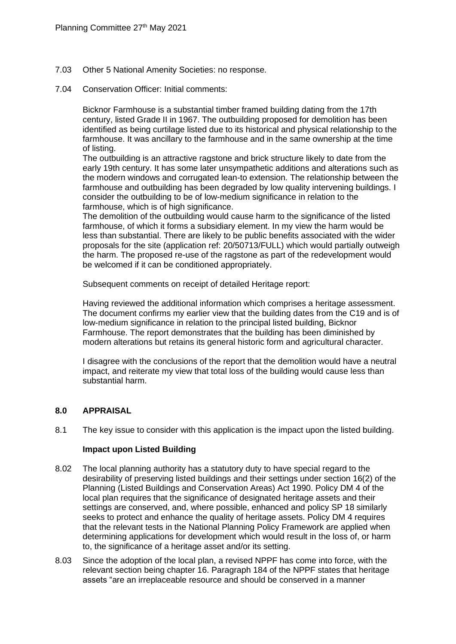- 7.03 Other 5 National Amenity Societies: no response.
- 7.04 Conservation Officer: Initial comments:

Bicknor Farmhouse is a substantial timber framed building dating from the 17th century, listed Grade II in 1967. The outbuilding proposed for demolition has been identified as being curtilage listed due to its historical and physical relationship to the farmhouse. It was ancillary to the farmhouse and in the same ownership at the time of listing.

The outbuilding is an attractive ragstone and brick structure likely to date from the early 19th century. It has some later unsympathetic additions and alterations such as the modern windows and corrugated lean-to extension. The relationship between the farmhouse and outbuilding has been degraded by low quality intervening buildings. I consider the outbuilding to be of low-medium significance in relation to the farmhouse, which is of high significance.

The demolition of the outbuilding would cause harm to the significance of the listed farmhouse, of which it forms a subsidiary element. In my view the harm would be less than substantial. There are likely to be public benefits associated with the wider proposals for the site (application ref: 20/50713/FULL) which would partially outweigh the harm. The proposed re-use of the ragstone as part of the redevelopment would be welcomed if it can be conditioned appropriately.

Subsequent comments on receipt of detailed Heritage report:

Having reviewed the additional information which comprises a heritage assessment. The document confirms my earlier view that the building dates from the C19 and is of low-medium significance in relation to the principal listed building, Bicknor Farmhouse. The report demonstrates that the building has been diminished by modern alterations but retains its general historic form and agricultural character.

I disagree with the conclusions of the report that the demolition would have a neutral impact, and reiterate my view that total loss of the building would cause less than substantial harm.

### **8.0 APPRAISAL**

8.1 The key issue to consider with this application is the impact upon the listed building.

### **Impact upon Listed Building**

- 8.02 The local planning authority has a statutory duty to have special regard to the desirability of preserving listed buildings and their settings under section 16(2) of the Planning (Listed Buildings and Conservation Areas) Act 1990. Policy DM 4 of the local plan requires that the significance of designated heritage assets and their settings are conserved, and, where possible, enhanced and policy SP 18 similarly seeks to protect and enhance the quality of heritage assets. Policy DM 4 requires that the relevant tests in the National Planning Policy Framework are applied when determining applications for development which would result in the loss of, or harm to, the significance of a heritage asset and/or its setting.
- 8.03 Since the adoption of the local plan, a revised NPPF has come into force, with the relevant section being chapter 16. Paragraph 184 of the NPPF states that heritage assets "are an irreplaceable resource and should be conserved in a manner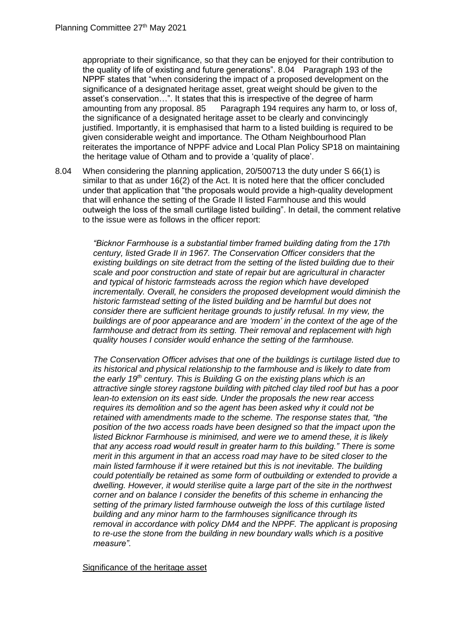appropriate to their significance, so that they can be enjoyed for their contribution to the quality of life of existing and future generations". 8.04 Paragraph 193 of the NPPF states that "when considering the impact of a proposed development on the significance of a designated heritage asset, great weight should be given to the asset's conservation...". It states that this is irrespective of the degree of harm<br>amounting from any proposal. 85 Paragraph 194 requires any harm to, or lo Paragraph 194 requires any harm to, or loss of, the significance of a designated heritage asset to be clearly and convincingly justified. Importantly, it is emphasised that harm to a listed building is required to be given considerable weight and importance. The Otham Neighbourhood Plan reiterates the importance of NPPF advice and Local Plan Policy SP18 on maintaining the heritage value of Otham and to provide a 'quality of place'.

8.04 When considering the planning application, 20/500713 the duty under S 66(1) is similar to that as under 16(2) of the Act. It is noted here that the officer concluded under that application that "the proposals would provide a high-quality development that will enhance the setting of the Grade II listed Farmhouse and this would outweigh the loss of the small curtilage listed building". In detail, the comment relative to the issue were as follows in the officer report:

> *"Bicknor Farmhouse is a substantial timber framed building dating from the 17th century, listed Grade II in 1967. The Conservation Officer considers that the existing buildings on site detract from the setting of the listed building due to their scale and poor construction and state of repair but are agricultural in character and typical of historic farmsteads across the region which have developed incrementally. Overall, he considers the proposed development would diminish the historic farmstead setting of the listed building and be harmful but does not consider there are sufficient heritage grounds to justify refusal. In my view, the buildings are of poor appearance and are 'modern' in the context of the age of the farmhouse and detract from its setting. Their removal and replacement with high quality houses I consider would enhance the setting of the farmhouse.*

> *The Conservation Officer advises that one of the buildings is curtilage listed due to its historical and physical relationship to the farmhouse and is likely to date from the early 19th century. This is Building G on the existing plans which is an attractive single storey ragstone building with pitched clay tiled roof but has a poor lean-to extension on its east side. Under the proposals the new rear access requires its demolition and so the agent has been asked why it could not be retained with amendments made to the scheme. The response states that, "the position of the two access roads have been designed so that the impact upon the listed Bicknor Farmhouse is minimised, and were we to amend these, it is likely that any access road would result in greater harm to this building." There is some merit in this argument in that an access road may have to be sited closer to the main listed farmhouse if it were retained but this is not inevitable. The building could potentially be retained as some form of outbuilding or extended to provide a dwelling. However, it would sterilise quite a large part of the site in the northwest corner and on balance I consider the benefits of this scheme in enhancing the setting of the primary listed farmhouse outweigh the loss of this curtilage listed building and any minor harm to the farmhouses significance through its removal in accordance with policy DM4 and the NPPF. The applicant is proposing to re-use the stone from the building in new boundary walls which is a positive measure".*

#### Significance of the heritage asset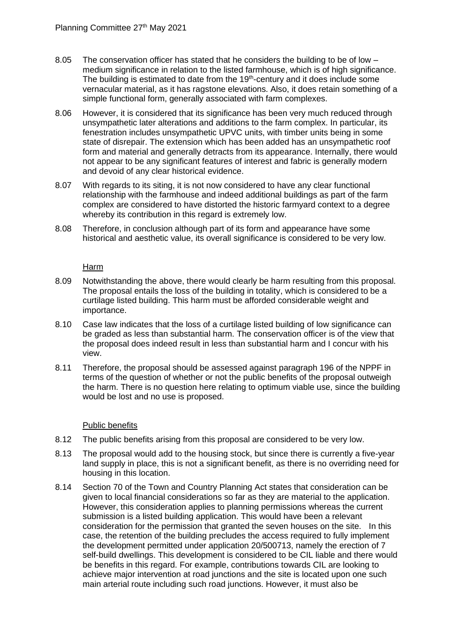- 8.05 The conservation officer has stated that he considers the building to be of low medium significance in relation to the listed farmhouse, which is of high significance. The building is estimated to date from the 19<sup>th</sup>-century and it does include some vernacular material, as it has ragstone elevations. Also, it does retain something of a simple functional form, generally associated with farm complexes.
- 8.06 However, it is considered that its significance has been very much reduced through unsympathetic later alterations and additions to the farm complex. In particular, its fenestration includes unsympathetic UPVC units, with timber units being in some state of disrepair. The extension which has been added has an unsympathetic roof form and material and generally detracts from its appearance. Internally, there would not appear to be any significant features of interest and fabric is generally modern and devoid of any clear historical evidence.
- 8.07 With regards to its siting, it is not now considered to have any clear functional relationship with the farmhouse and indeed additional buildings as part of the farm complex are considered to have distorted the historic farmyard context to a degree whereby its contribution in this regard is extremely low.
- 8.08 Therefore, in conclusion although part of its form and appearance have some historical and aesthetic value, its overall significance is considered to be very low.

### Harm

- 8.09 Notwithstanding the above, there would clearly be harm resulting from this proposal. The proposal entails the loss of the building in totality, which is considered to be a curtilage listed building. This harm must be afforded considerable weight and importance.
- 8.10 Case law indicates that the loss of a curtilage listed building of low significance can be graded as less than substantial harm. The conservation officer is of the view that the proposal does indeed result in less than substantial harm and I concur with his view.
- 8.11 Therefore, the proposal should be assessed against paragraph 196 of the NPPF in terms of the question of whether or not the public benefits of the proposal outweigh the harm. There is no question here relating to optimum viable use, since the building would be lost and no use is proposed.

### Public benefits

- 8.12 The public benefits arising from this proposal are considered to be very low.
- 8.13 The proposal would add to the housing stock, but since there is currently a five-year land supply in place, this is not a significant benefit, as there is no overriding need for housing in this location.
- 8.14 Section 70 of the Town and Country Planning Act states that consideration can be given to local financial considerations so far as they are material to the application. However, this consideration applies to planning permissions whereas the current submission is a listed building application. This would have been a relevant consideration for the permission that granted the seven houses on the site. In this case, the retention of the building precludes the access required to fully implement the development permitted under application 20/500713, namely the erection of 7 self-build dwellings. This development is considered to be CIL liable and there would be benefits in this regard. For example, contributions towards CIL are looking to achieve major intervention at road junctions and the site is located upon one such main arterial route including such road junctions. However, it must also be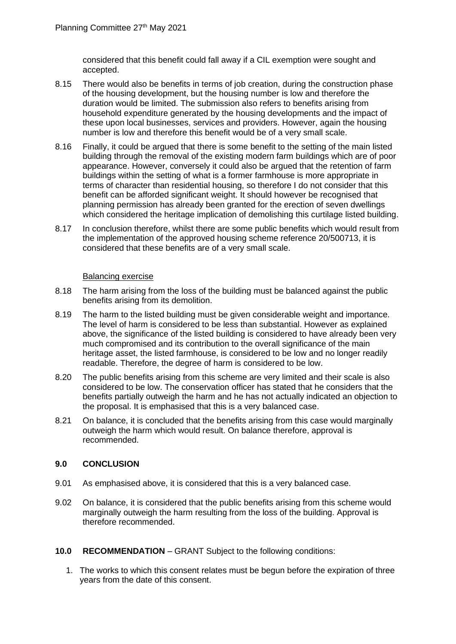considered that this benefit could fall away if a CIL exemption were sought and accepted.

- 8.15 There would also be benefits in terms of job creation, during the construction phase of the housing development, but the housing number is low and therefore the duration would be limited. The submission also refers to benefits arising from household expenditure generated by the housing developments and the impact of these upon local businesses, services and providers. However, again the housing number is low and therefore this benefit would be of a very small scale.
- 8.16 Finally, it could be argued that there is some benefit to the setting of the main listed building through the removal of the existing modern farm buildings which are of poor appearance. However, conversely it could also be argued that the retention of farm buildings within the setting of what is a former farmhouse is more appropriate in terms of character than residential housing, so therefore I do not consider that this benefit can be afforded significant weight. It should however be recognised that planning permission has already been granted for the erection of seven dwellings which considered the heritage implication of demolishing this curtilage listed building.
- 8.17 In conclusion therefore, whilst there are some public benefits which would result from the implementation of the approved housing scheme reference 20/500713, it is considered that these benefits are of a very small scale.

#### Balancing exercise

- 8.18 The harm arising from the loss of the building must be balanced against the public benefits arising from its demolition.
- 8.19 The harm to the listed building must be given considerable weight and importance. The level of harm is considered to be less than substantial. However as explained above, the significance of the listed building is considered to have already been very much compromised and its contribution to the overall significance of the main heritage asset, the listed farmhouse, is considered to be low and no longer readily readable. Therefore, the degree of harm is considered to be low.
- 8.20 The public benefits arising from this scheme are very limited and their scale is also considered to be low. The conservation officer has stated that he considers that the benefits partially outweigh the harm and he has not actually indicated an objection to the proposal. It is emphasised that this is a very balanced case.
- 8.21 On balance, it is concluded that the benefits arising from this case would marginally outweigh the harm which would result. On balance therefore, approval is recommended.

### **9.0 CONCLUSION**

- 9.01 As emphasised above, it is considered that this is a very balanced case.
- 9.02 On balance, it is considered that the public benefits arising from this scheme would marginally outweigh the harm resulting from the loss of the building. Approval is therefore recommended.
- **10.0 RECOMMENDATION** GRANT Subject to the following conditions:
	- 1. The works to which this consent relates must be begun before the expiration of three years from the date of this consent.